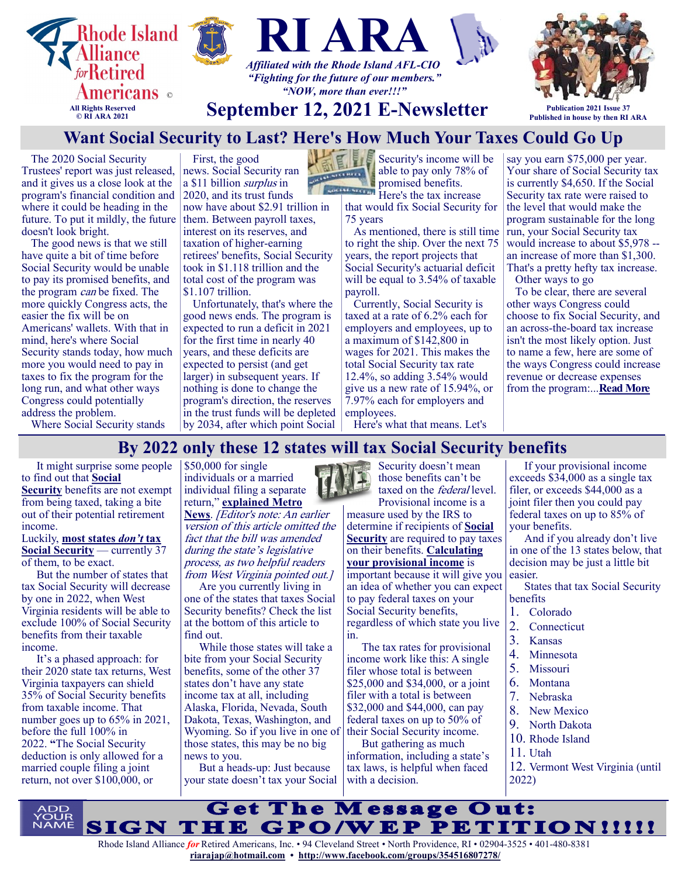

The 2020 Social Security Trustees' report was just released, and it gives us a close look at the program's financial condition and where it could be heading in the future. To put it mildly, the future doesn't look bright.

The good news is that we still have quite a bit of time before Social Security would be unable to pay its promised benefits, and the program can be fixed. The more quickly Congress acts, the easier the fix will be on Americans' wallets. With that in mind, here's where Social Security stands today, how much more you would need to pay in taxes to fix the program for the long run, and what other ways Congress could potentially address the problem.

Where Social Security stands

First, the good news. [Social Security](https://www.fool.com/retirement/social-security/?utm_source=msnrss&utm_medium=feed&utm_campaign=article&referring_guid=aa06f60b-70f2-4614-af42-33849b9a9757) ran a \$11 billion *surplus* in 2020, and its trust funds now have about \$2.91 trillion in them. Between payroll taxes, interest on its reserves, and taxation of higher-earning retirees' benefits, Social Security took in \$1.118 trillion and the total cost of the program was \$1.107 trillion.

Unfortunately, that's where the good news ends. The program is expected to run a deficit in 2021 for the first time in nearly 40 years, and these deficits are expected to persist (and get larger) in subsequent years. If nothing is done to change the program's direction, the reserves in the trust funds will be depleted by 2034, after which point Social

Security's income will be **CONSTRAINS** 

able to pay only 78% of promised benefits. Here's the tax increase

that would fix Social Security for 75 years

As mentioned, there is still time to right the ship. Over the next 75 years, the report projects that Social Security's actuarial deficit will be equal to 3.54% of taxable payroll.

Currently, Social Security is taxed at a rate of 6.2% each for employers and employees, up to a maximum of \$142,800 in wages for 2021. This makes the total Social Security tax rate 12.4%, so adding 3.54% would give us a new rate of 15.94%, or 7.97% each for employers and employees.

Here's what that means. Let's

say you earn \$75,000 per year. Your share of Social Security tax is currently \$4,650. If the Social Security tax rate were raised to the level that would make the program sustainable for the long run, your Social Security tax would increase to about \$5,978 - an increase of more than \$1,300. That's a pretty hefty tax increase. Other ways to go

To be clear, there are several other ways Congress could choose to fix Social Security, and an across-the-board tax increase isn't the most likely option. Just to name a few, here are some of the ways Congress could increase revenue or decrease expenses from the program:...**[Read More](https://www.msn.com/en-us/money/retirement/want-social-security-to-last-here-s-how-much-your-taxes-could-go-up/ar-AAO9cSu?ocid=SK2DDHP)**

**By 2022 only these 12 states will tax Social Security benefits**

It might surprise some people to find out that **[Social](https://considerable.com/social-security-paper-statements/)  [Security](https://considerable.com/social-security-paper-statements/)** benefits are not exempt from being taxed, taking a bite out of their potential retirement income.

Luckily, **[most states](https://www.nasdaq.com/article/37-states-that-wont-tax-your-social-security-benefits-cm890283)** *[don't](https://www.nasdaq.com/article/37-states-that-wont-tax-your-social-security-benefits-cm890283)* **[tax](https://www.nasdaq.com/article/37-states-that-wont-tax-your-social-security-benefits-cm890283)  [Social Security](https://www.nasdaq.com/article/37-states-that-wont-tax-your-social-security-benefits-cm890283)** — currently 37 of them, to be exact.

But the number of states that tax Social Security will decrease by one in 2022, when West Virginia residents will be able to exclude 100% of Social Security benefits from their taxable income.

It's a phased approach: for their 2020 state tax returns, West Virginia taxpayers can shield 35% of Social Security benefits from taxable income. That number goes up to 65% in 2021, before the full 100% in 2022. **"**The Social Security deduction is only allowed for a married couple filing a joint return, not over \$100,000, or

 $\frac{1}{50,000}$  for single individuals or a married individual filing a separate return," **[explained Metro](http://wvmetronews.com/2019/03/28/justice-signs-social-security-tax-bill-as-officials-declare-victory/)** 

**[News](http://wvmetronews.com/2019/03/28/justice-signs-social-security-tax-bill-as-officials-declare-victory/)**. [Editor's note: An earlier version of this article omitted the fact that the bill was amended during the state's legislative process, as two helpful readers from West Virginia pointed out.]

Are you currently living in one of the states that taxes Social Security benefits? Check the list at the bottom of this article to find out.

While those states will take a bite from your Social Security benefits, some of the other 37 states don't have any state income tax at all, including Alaska, Florida, Nevada, South Dakota, Texas, Washington, and Wyoming. So if you live in one of those states, this may be no big news to you.

But a heads-up: Just because your state doesn't tax your Social



Security doesn't mean those benefits can't be taxed on the *federal* level. Provisional income is a

measure used by the IRS to determine if recipients of **[Social](https://considerable.com/social-security-myths/)  [Security](https://considerable.com/social-security-myths/)** are required to pay taxes on their benefits. **[Calculating](https://www.fool.com/knowledge-center/how-to-calculate-provisional-income.aspx)  [your provisional income](https://www.fool.com/knowledge-center/how-to-calculate-provisional-income.aspx)** is important because it will give you

an idea of whether you can expect to pay federal taxes on your Social Security benefits, regardless of which state you live in.

The tax rates for provisional income work like this: A single filer whose total is between \$25,000 and \$34,000, or a joint filer with a total is between \$32,000 and \$44,000, can pay federal taxes on up to 50% of their Social Security income.

But gathering as much information, including a state's tax laws, is helpful when faced with a decision.

If your provisional income exceeds \$34,000 as a single tax filer, or exceeds \$44,000 as a joint filer then you could pay federal taxes on up to 85% of your benefits.

And if you already don't live in one of the 13 states below, that decision may be just a little bit easier.

States that tax Social Security benefits

- 1. Colorado
- 2. Connecticut
- 3. Kansas
- 4. Minnesota
- 5. Missouri
- 6. Montana
- 7. Nebraska
- 8. New Mexico
- 9. North Dakota
- 10. Rhode Island
- 11. Utah
- 12. Vermont West Virginia (until 2022)

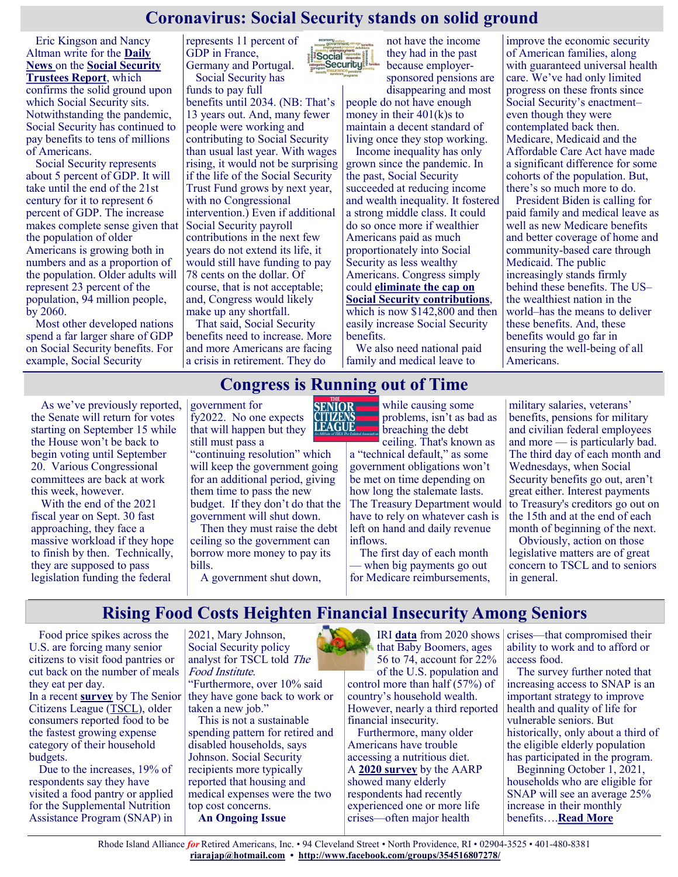### **Coronavirus: Social Security stands on solid ground**

Eric Kingson and Nancy Altman write for the **[Daily](https://www.nydailynews.com/opinion/ny-oped-social-security-on-surprisingly-solid-ground-20210831-lflrsgmu6zgvlhwkoognh63tki-story.html)  [News](https://www.nydailynews.com/opinion/ny-oped-social-security-on-surprisingly-solid-ground-20210831-lflrsgmu6zgvlhwkoognh63tki-story.html)** on the **[Social Security](https://www.washingtonpost.com/business/2021/08/31/mortality-coronavirus-medicare-trustee-report/)  [Trustees Report](https://www.washingtonpost.com/business/2021/08/31/mortality-coronavirus-medicare-trustee-report/)**, which confirms the solid ground upon which Social Security sits. Notwithstanding the pandemic, Social Security has continued to pay benefits to tens of millions of Americans.

Social Security represents about 5 percent of GDP. It will take until the end of the 21st century for it to represent 6 percent of GDP. The increase makes complete sense given that the population of older Americans is growing both in numbers and as a proportion of the population. Older adults will represent 23 percent of the population, 94 million people, by 2060.

Most other developed nations spend a far larger share of GDP on Social Security benefits. For example, Social Security

represents 11 percent of GDP in France, Germany and Portugal. Social Security has

funds to pay full

benefits until 2034. (NB: That's 13 years out. And, many fewer people were working and contributing to Social Security than usual last year. With wages rising, it would not be surprising if the life of the Social Security Trust Fund grows by next year, with no Congressional intervention.) Even if additional Social Security payroll contributions in the next few years do not extend its life, it would still have funding to pay 78 cents on the dollar. Of course, that is not acceptable; and, Congress would likely make up any shortfall.

That said, Social Security benefits need to increase. More and more Americans are facing a crisis in retirement. They do



not have the income they had in the past because employersponsored pensions are disappearing and most

people do not have enough money in their 401(k)s to maintain a decent standard of living once they stop working.

Income inequality has only grown since the pandemic. In the past, Social Security succeeded at reducing income and wealth inequality. It fostered a strong middle class. It could do so once more if wealthier Americans paid as much proportionately into Social Security as less wealthy Americans. Congress simply could **[eliminate the cap on](https://justcareusa.org/congressman-larson-introduces-the-social-security-2100-act/)  [Social Security contributions](https://justcareusa.org/congressman-larson-introduces-the-social-security-2100-act/)**, which is now \$142,800 and then easily increase Social Security benefits.

We also need national paid family and medical leave to

improve the economic security of American families, along with guaranteed universal health care. We've had only limited progress on these fronts since Social Security's enactment– even though they were contemplated back then. Medicare, Medicaid and the Affordable Care Act have made a significant difference for some cohorts of the population. But, there's so much more to do.

President Biden is calling for paid family and medical leave as well as new Medicare benefits and better coverage of home and community-based care through Medicaid. The public increasingly stands firmly behind these benefits. The US– the wealthiest nation in the world–has the means to deliver these benefits. And, these benefits would go far in ensuring the well-being of all Americans.

### **Congress is Running out of Time**

As we've previously reported, the Senate will return for votes starting on September 15 while the House won't be back to begin voting until September 20. Various Congressional committees are back at work this week, however.

With the end of the 2021 fiscal year on Sept. 30 fast approaching, they face a massive workload if they hope to finish by then. Technically, they are supposed to pass legislation funding the federal

government for fy2022. No one expects that will happen but they still must pass a

"continuing resolution" which will keep the government going for an additional period, giving them time to pass the new budget. If they don't do that the government will shut down.

Then they must raise the debt ceiling so the government can borrow more money to pay its bills.

A government shut down,



while causing some problems, isn't as bad as breaching the debt

ceiling. That's known as a "technical default," as some government obligations won't be met on time depending on how long the stalemate lasts. The Treasury Department would have to rely on whatever cash is left on hand and daily revenue inflows.

The first day of each month — when big payments go out for Medicare reimbursements, military salaries, veterans' benefits, pensions for military and civilian federal employees and more — is particularly bad. The third day of each month and Wednesdays, when Social Security benefits go out, aren't great either. Interest payments to Treasury's creditors go out on the 15th and at the end of each month of beginning of the next.

Obviously, action on those legislative matters are of great concern to TSCL and to seniors in general.

### **Rising Food Costs Heighten Financial Insecurity Among Seniors**

Food price spikes across the U.S. are forcing many senior citizens to visit food pantries or cut back on the number of meals they eat per day. In a recent **[survey](https://www.prweb.com/releases/older_consumers_report_food_as_fastest_growing_cost_in_2021_according_to_new_survey_by_the_senior_citizens_league/prweb18149527.htm)** by The Senior

Citizens League ([TSCL\)](https://seniorsleague.org/), older consumers reported food to be the fastest growing expense category of their household budgets.

Due to the increases, 19% of respondents say they have visited a food pantry or applied for the Supplemental Nutrition Assistance Program (SNAP) in

2021, Mary Johnson, Social Security policy analyst for TSCL told The Food Institute.

"Furthermore, over 10% said they have gone back to work or taken a new job."

This is not a sustainable spending pattern for retired and disabled households, says Johnson. Social Security recipients more typically reported that housing and medical expenses were the two top cost concerns. **An Ongoing Issue**

IRI **[data](https://www.iriworldwide.com/IRI/media/Library/COVID-19-Changing-Shape-of-the-Demand-Curve-Part-5-7-24-20.pdf)** from 2020 shows that Baby Boomers, ages 56 to 74, account for 22% of the U.S. population and

control more than half (57%) of country's household wealth. However, nearly a third reported financial insecurity.

Furthermore, many older Americans have trouble accessing a nutritious diet. A **[2020 survey](https://fns-prod.azureedge.net/sites/default/files/resource-files/AlternativesImproveElderlyAccess.pdf#page=12)** by the AARP showed many elderly respondents had recently experienced one or more life crises—often major health

crises—that compromised their ability to work and to afford or access food.

The survey further noted that increasing access to SNAP is an important strategy to improve health and quality of life for vulnerable seniors. But historically, only about a third of the eligible elderly population has participated in the program.

Beginning October 1, 2021, households who are eligible for SNAP will see an average 25% increase in their monthly benefits….**[Read More](https://foodinstitute.com/focus/rising-food-costs-heighten-financial-insecurity-among-seniors/)**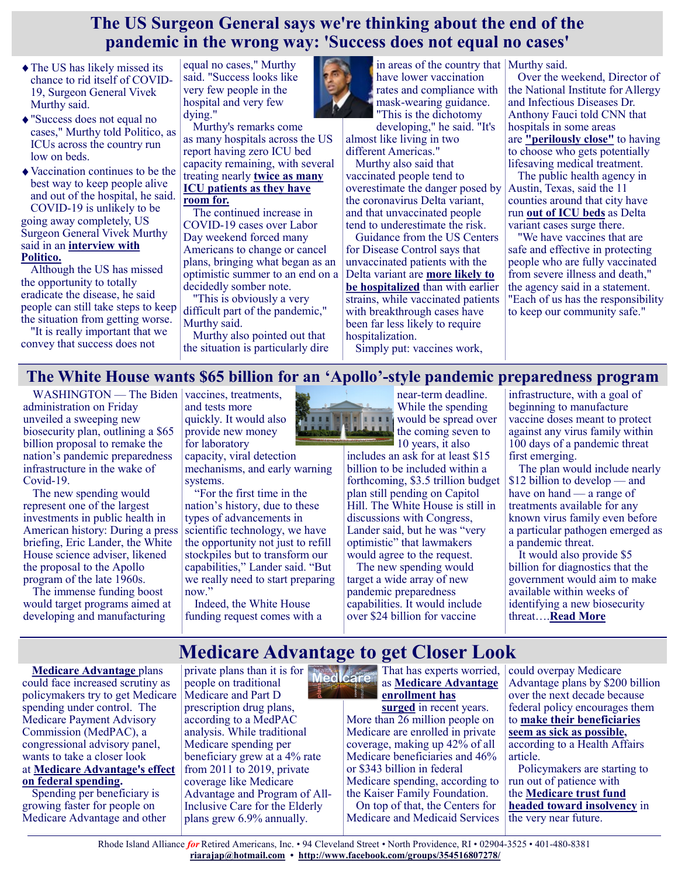### **The US Surgeon General says we're thinking about the end of the pandemic in the wrong way: 'Success does not equal no cases'**

- The US has likely missed its chance to rid itself of COVID-19, Surgeon General Vivek Murthy said.
- "Success does not equal no cases," Murthy told Politico, as ICUs across the country run low on beds.
- Vaccination continues to be the best way to keep people alive and out of the hospital, he said. COVID-19 is unlikely to be going away completely, US Surgeon General Vivek Murthy said in an **[interview with](https://www.politico.com/news/magazine/2021/09/06/why-we-cant-turn-the-corner-on-covid-509349)**

### **[Politico.](https://www.politico.com/news/magazine/2021/09/06/why-we-cant-turn-the-corner-on-covid-509349)**

Although the US has missed the opportunity to totally eradicate the disease, he said people can still take steps to keep the situation from getting worse.

"It is really important that we convey that success does not

equal no cases," Murthy said. "Success looks like very few people in the hospital and very few dying."

Murthy's remarks come as many hospitals across the US report having zero ICU bed capacity remaining, with several treating nearly **[twice as many](https://protect-public.hhs.gov/pages/hospital-utilization)  [ICU patients as they have](https://protect-public.hhs.gov/pages/hospital-utilization)  [room for.](https://protect-public.hhs.gov/pages/hospital-utilization)**

The continued increase in COVID-19 cases over Labor Day weekend forced many Americans to change or cancel plans, bringing what began as an optimistic summer to an end on a decidedly somber note.

"This is obviously a very difficult part of the pandemic," Murthy said.

Murthy also pointed out that the situation is particularly dire



have lower vaccination rates and compliance with mask-wearing guidance. "This is the dichotomy

developing," he said. "It's almost like living in two different Americas."

Murthy also said that vaccinated people tend to overestimate the danger posed by the coronavirus Delta variant, and that unvaccinated people tend to underestimate the risk.

Guidance from the US Centers for Disease Control says that unvaccinated patients with the Delta variant are **[more likely to](https://www.cdc.gov/coronavirus/2019-ncov/variants/delta-variant.html)  [be hospitalized](https://www.cdc.gov/coronavirus/2019-ncov/variants/delta-variant.html)** than with earlier strains, while vaccinated patients with breakthrough cases have been far less likely to require hospitalization.

Simply put: vaccines work,

in areas of the country that Murthy said.

Over the weekend, Director of the National Institute for Allergy and Infectious Diseases Dr. Anthony Fauci told CNN that hospitals in some areas are **["perilously close"](https://www.businessinsider.com/fauci-says-us-doctors-may-have-to-prioritize-icu-beds-2021-9)** to having to choose who gets potentially lifesaving medical treatment.

The public health agency in Austin, Texas, said the 11 counties around that city have run **[out of ICU beds](https://www.insider.com/hospitals-austin-texas-run-out-staffed-icu-beds-covid-19-2021-9)** as Delta variant cases surge there.

"We have vaccines that are safe and effective in protecting people who are fully vaccinated from severe illness and death," the agency said in a statement. "Each of us has the responsibility to keep our community safe."

### **The White House wants \$65 billion for an 'Apollo'-style pandemic preparedness program**

WASHINGTON — The Biden vaccines, treatments, administration on Friday unveiled a sweeping new biosecurity plan, outlining a \$65 billion proposal to remake the nation's pandemic preparedness infrastructure in the wake of Covid-19.

The new spending would represent one of the largest investments in public health in American history: During a press briefing, Eric Lander, the White House science adviser, likened the proposal to the Apollo program of the late 1960s.

The immense funding boost would target programs aimed at developing and manufacturing

and tests more quickly. It would also provide new money for laboratory

capacity, viral detection mechanisms, and early warning systems.

"For the first time in the nation's history, due to these types of advancements in scientific technology, we have the opportunity not just to refill stockpiles but to transform our capabilities," Lander said. "But we really need to start preparing now."

Indeed, the White House funding request comes with a



near-term deadline. While the spending **III** would be spread over the coming seven to

10 years, it also includes an ask for at least \$15 billion to be included within a forthcoming, \$3.5 trillion budget plan still pending on Capitol Hill. The White House is still in discussions with Congress, Lander said, but he was "very optimistic" that lawmakers would agree to the request.

The new spending would target a wide array of new pandemic preparedness capabilities. It would include over \$24 billion for vaccine

infrastructure, with a goal of beginning to manufacture vaccine doses meant to protect against any virus family within 100 days of a pandemic threat first emerging.

The plan would include nearly \$12 billion to develop — and have on hand — a range of treatments available for any known virus family even before a particular pathogen emerged as a pandemic threat.

It would also provide \$5 billion for diagnostics that the government would aim to make available within weeks of identifying a new biosecurity threat….**[Read More](https://www.statnews.com/2021/09/03/biden-wants-65-billion-for-apollo-style-pandemic-preparedness-program/)**

# **Medicare Advantage to get Closer Look**

**[Medicare Advantage](https://www.modernhealthcare.com/topic/medicare-advantage)** plans could face increased scrutiny as policymakers try to get Medicare spending under control. The Medicare Payment Advisory Commission (MedPAC), a congressional advisory panel, wants to take a closer look at **[Medicare Advantage's effect](https://www.modernhealthcare.com/insurance/dying-ma-customers-are-switching-traditional-medicare)  [on federal spending.](https://www.modernhealthcare.com/insurance/dying-ma-customers-are-switching-traditional-medicare)**

Spending per beneficiary is growing faster for people on Medicare Advantage and other

private plans than it is for **health of Advance** That has experts worried, people on traditional Medicare and Part D prescription drug plans, according to a MedPAC analysis. While traditional Medicare spending per beneficiary grew at a 4% rate from 2011 to 2019, private coverage like Medicare Advantage and Program of All-Inclusive Care for the Elderly plans grew 6.9% annually.

as **[Medicare Advantage](https://www.modernhealthcare.com/medicare/insurers-see-traditional-medicare-hold-steady-despite-advantage-growth)  [enrollment has](https://www.modernhealthcare.com/medicare/insurers-see-traditional-medicare-hold-steady-despite-advantage-growth)** 

**[surged](https://www.modernhealthcare.com/medicare/insurers-see-traditional-medicare-hold-steady-despite-advantage-growth)** in recent years. More than 26 million people on Medicare are enrolled in private coverage, making up 42% of all Medicare beneficiaries and 46% or \$343 billion in federal Medicare spending, according to the Kaiser Family Foundation. On top of that, the Centers for Medicare and Medicaid Services could overpay Medicare Advantage plans by \$200 billion over the next decade because federal policy encourages them to **[make their beneficiaries](https://www.modernhealthcare.com/insurance/aetna-medicare-advantage-program-targeted-oig-audit)  [seem as sick as possible,](https://www.modernhealthcare.com/insurance/aetna-medicare-advantage-program-targeted-oig-audit)** according to a Health Affairs article.

Policymakers are starting to run out of patience with the **[Medicare trust fund](https://www.modernhealthcare.com/medicare/social-security-and-medicare-funds-remain-under-pressure)  [headed toward insolvency](https://www.modernhealthcare.com/medicare/social-security-and-medicare-funds-remain-under-pressure)** in the very near future.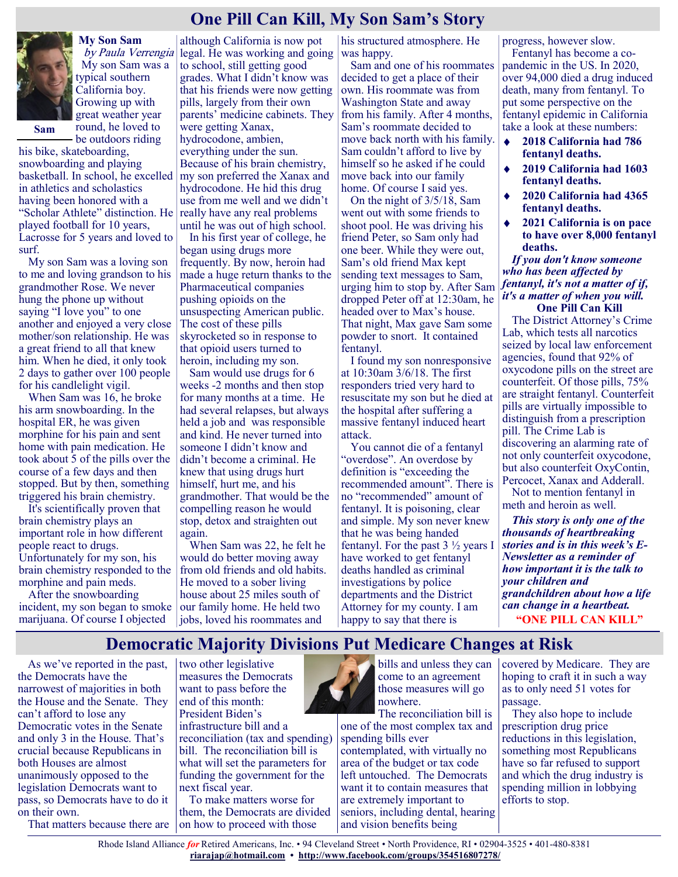## **One Pill Can Kill, My Son Sam's Story**



**My Son Sam** by Paula Verrengia My son Sam was a typical southern California boy. Growing up with great weather year round, he loved to

**Sam**

be outdoors riding his bike, skateboarding, snowboarding and playing basketball. In school, he excelled in athletics and scholastics having been honored with a "Scholar Athlete" distinction. He played football for 10 years, Lacrosse for 5 years and loved to surf.

My son Sam was a loving son to me and loving grandson to his grandmother Rose. We never hung the phone up without saying "I love you" to one another and enjoyed a very close mother/son relationship. He was a great friend to all that knew him. When he died, it only took 2 days to gather over 100 people for his candlelight vigil.

When Sam was 16, he broke his arm snowboarding. In the hospital ER, he was given morphine for his pain and sent home with pain medication. He took about 5 of the pills over the course of a few days and then stopped. But by then, something triggered his brain chemistry.

It's scientifically proven that brain chemistry plays an important role in how different people react to drugs. Unfortunately for my son, his brain chemistry responded to the morphine and pain meds.

After the snowboarding incident, my son began to smoke marijuana. Of course I objected

although California is now pot legal. He was working and going to school, still getting good grades. What I didn't know was that his friends were now getting pills, largely from their own parents' medicine cabinets. They were getting Xanax, hydrocodone, ambien, everything under the sun. Because of his brain chemistry, my son preferred the Xanax and hydrocodone. He hid this drug use from me well and we didn't really have any real problems until he was out of high school.

In his first year of college, he began using drugs more frequently. By now, heroin had made a huge return thanks to the Pharmaceutical companies pushing opioids on the unsuspecting American public. The cost of these pills skyrocketed so in response to that opioid users turned to heroin, including my son.

Sam would use drugs for 6 weeks -2 months and then stop for many months at a time. He had several relapses, but always held a job and was responsible and kind. He never turned into someone I didn't know and didn't become a criminal. He knew that using drugs hurt himself, hurt me, and his grandmother. That would be the compelling reason he would stop, detox and straighten out again.

When Sam was 22, he felt he would do better moving away from old friends and old habits. He moved to a sober living house about 25 miles south of our family home. He held two jobs, loved his roommates and

his structured atmosphere. He was happy.

Sam and one of his roommates decided to get a place of their own. His roommate was from Washington State and away from his family. After 4 months, Sam's roommate decided to move back north with his family. Sam couldn't afford to live by himself so he asked if he could move back into our family home. Of course I said yes.

On the night of 3/5/18, Sam went out with some friends to shoot pool. He was driving his friend Peter, so Sam only had one beer. While they were out, Sam's old friend Max kept sending text messages to Sam, urging him to stop by. After Sam dropped Peter off at 12:30am, he headed over to Max's house. That night, Max gave Sam some powder to snort. It contained fentanyl.

I found my son nonresponsive at 10:30am 3/6/18. The first responders tried very hard to resuscitate my son but he died at the hospital after suffering a massive fentanyl induced heart attack.

You cannot die of a fentanyl "overdose". An overdose by definition is "exceeding the recommended amount". There is no "recommended" amount of fentanyl. It is poisoning, clear and simple. My son never knew that he was being handed fentanyl. For the past  $3\frac{1}{2}$  years I have worked to get fentanyl deaths handled as criminal investigations by police departments and the District Attorney for my county. I am happy to say that there is

progress, however slow. Fentanyl has become a copandemic in the US. In 2020, over 94,000 died a drug induced death, many from fentanyl. To put some perspective on the fentanyl epidemic in California take a look at these numbers:

- $\ddot{\bullet}$ **2018 California had 786 fentanyl deaths.**
- $\bullet$ **2019 California had 1603 fentanyl deaths.**
- **2020 California had 4365 fentanyl deaths.**
- **2021 California is on pace to have over 8,000 fentanyl deaths.**

*If you don't know someone who has been affected by fentanyl, it's not a matter of if, it's a matter of when you will.* **One Pill Can Kill** 

The District Attorney's Crime Lab, which tests all narcotics seized by local law enforcement agencies, found that 92% of oxycodone pills on the street are counterfeit. Of those pills, 75% are straight fentanyl. Counterfeit pills are virtually impossible to distinguish from a prescription pill. The Crime Lab is discovering an alarming rate of not only counterfeit oxycodone, but also counterfeit OxyContin, Percocet, Xanax and Adderall.

Not to mention fentanyl in meth and heroin as well.

*This story is only one of the thousands of heartbreaking stories and is in this week's E-Newsletter as a reminder of how important it is the talk to your children and grandchildren about how a life can change in a heartbeat.* **"ONE PILL CAN KILL"**

### **Democratic Majority Divisions Put Medicare Changes at Risk**

As we've reported in the past, the Democrats have the narrowest of majorities in both the House and the Senate. They can't afford to lose any Democratic votes in the Senate and only 3 in the House. That's crucial because Republicans in both Houses are almost unanimously opposed to the legislation Democrats want to pass, so Democrats have to do it on their own.

That matters because there are

two other legislative measures the Democrats want to pass before the end of this month: President Biden's infrastructure bill and a reconciliation (tax and spending) bill. The reconciliation bill is what will set the parameters for funding the government for the next fiscal year. To make matters worse for

them, the Democrats are divided on how to proceed with those



one of the most complex tax and spending bills ever contemplated, with virtually no area of the budget or tax code left untouched. The Democrats want it to contain measures that are extremely important to seniors, including dental, hearing and vision benefits being

covered by Medicare. They are hoping to craft it in such a way as to only need 51 votes for passage.

They also hope to include prescription drug price reductions in this legislation, something most Republicans have so far refused to support and which the drug industry is spending million in lobbying efforts to stop.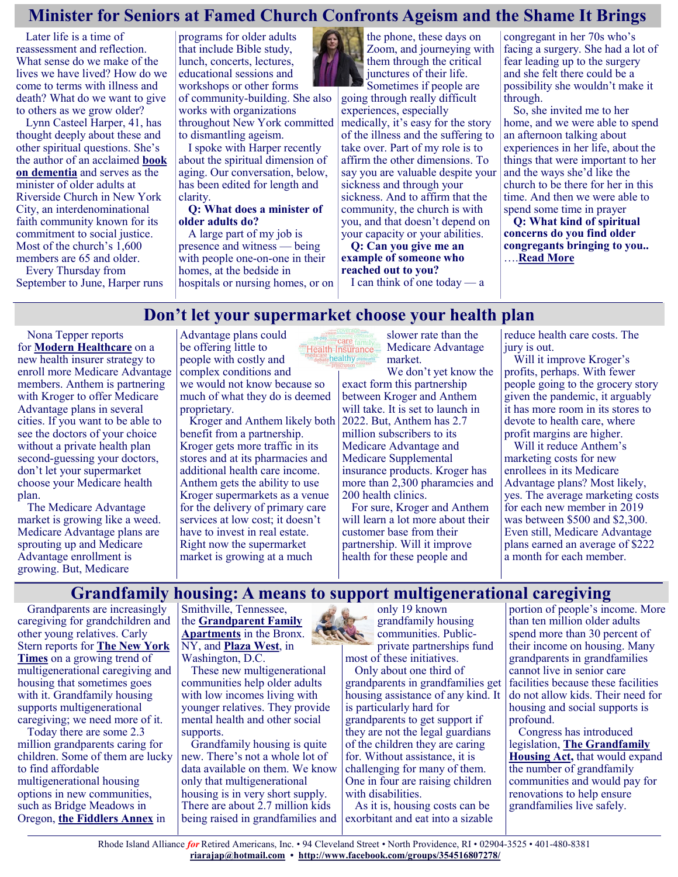### **Minister for Seniors at Famed Church Confronts Ageism and the Shame It Brings**

Later life is a time of reassessment and reflection. What sense do we make of the lives we have lived? How do we come to terms with illness and death? What do we want to give to others as we grow older?

Lynn Casteel Harper, 41, has thought deeply about these and other spiritual questions. She's the author of an acclaimed **[book](https://www.nytimes.com/2020/04/21/books/on-vanishing-lynn-casteel-harper.html)  [on dementia](https://www.nytimes.com/2020/04/21/books/on-vanishing-lynn-casteel-harper.html)** and serves as the minister of older adults at Riverside Church in New York City, an interdenominational faith community known for its commitment to social justice. Most of the church's 1,600 members are 65 and older.

Every Thursday from September to June, Harper runs programs for older adults that include Bible study, lunch, concerts, lectures, educational sessions and workshops or other forms of community-building. She also works with organizations throughout New York committed to dismantling ageism.

I spoke with Harper recently about the spiritual dimension of aging. Our conversation, below, has been edited for length and clarity.

### **Q: What does a minister of older adults do?**

A large part of my job is presence and witness — being with people one-on-one in their homes, at the bedside in

hospitals or nursing homes, or on

the phone, these days on Zoom, and journeying with them through the critical junctures of their life. Sometimes if people are

going through really difficult experiences, especially medically, it's easy for the story of the illness and the suffering to take over. Part of my role is to affirm the other dimensions. To say you are valuable despite your sickness and through your sickness. And to affirm that the community, the church is with you, and that doesn't depend on your capacity or your abilities.

**Q: Can you give me an example of someone who reached out to you?**

I can think of one today  $-$  a

congregant in her 70s who's facing a surgery. She had a lot of fear leading up to the surgery and she felt there could be a possibility she wouldn't make it through.

So, she invited me to her home, and we were able to spend an afternoon talking about experiences in her life, about the things that were important to her and the ways she'd like the church to be there for her in this time. And then we were able to spend some time in prayer **Q: What kind of spiritual concerns do you find older congregants bringing to you..**

….**[Read More](https://khn.org/news/article/minister-for-seniors-at-famed-church-confronts-ageism-and-the-shame-it-brings/)**

### **Don't let your supermarket choose your health plan**

Nona Tepper reports for **[Modern Healthcare](https://www.modernhealthcare.com/insurance/partnership-strategy-medicare-advantage-plans-are-banking)** on a new health insurer strategy to enroll more Medicare Advantage members. Anthem is partnering with Kroger to offer Medicare Advantage plans in several cities. If you want to be able to see the doctors of your choice without a private health plan second-guessing your doctors, don't let your supermarket choose your Medicare health plan.

The Medicare Advantage market is growing like a weed. Medicare Advantage plans are sprouting up and Medicare Advantage enrollment is growing. But, Medicare

Advantage plans could be offering little to people with costly and complex conditions and we would not know because so much of what they do is deemed proprietary.

Kroger and Anthem likely both benefit from a partnership. Kroger gets more traffic in its stores and at its pharmacies and additional health care income. Anthem gets the ability to use Kroger supermarkets as a venue for the delivery of primary care services at low cost; it doesn't have to invest in real estate. Right now the supermarket market is growing at a much

**Care** family tehealthy premiums

slower rate than the Medicare Advantage market.

We don't yet know the exact form this partnership between Kroger and Anthem will take. It is set to launch in 2022. But, Anthem has 2.7 million subscribers to its Medicare Advantage and Medicare Supplemental insurance products. Kroger has more than 2,300 pharamcies and 200 health clinics.

For sure, Kroger and Anthem will learn a lot more about their customer base from their partnership. Will it improve health for these people and

reduce health care costs. The jury is out.

Will it improve Kroger's profits, perhaps. With fewer people going to the grocery story given the pandemic, it arguably it has more room in its stores to devote to health care, where profit margins are higher.

Will it reduce Anthem's marketing costs for new enrollees in its Medicare Advantage plans? Most likely, yes. The average marketing costs for each new member in 2019 was between \$500 and \$2,300. Even still, Medicare Advantage plans earned an average of \$222 a month for each member.

### **Grandfamily housing: A means to support multigenerational caregiving**

Grandparents are increasingly caregiving for grandchildren and other young relatives. Carly Stern reports for **[The New York](https://www.nytimes.com/2021/08/19/business/retirement-grandparents-raising-children.html)  [Times](https://www.nytimes.com/2021/08/19/business/retirement-grandparents-raising-children.html)** on a growing trend of multigenerational caregiving and housing that sometimes goes with it. Grandfamily housing supports multigenerational caregiving; we need more of it.

Today there are some 2.3 million grandparents caring for children. Some of them are lucky to find affordable multigenerational housing options in new communities, such as Bridge Meadows in Oregon, **[the Fiddlers Annex](https://ucdd.org/housingandfamilyservices/crdc/fiddlers-annex/)** in

Smithville, Tennessee, the **[Grandparent Family](https://pssusa.org/gfa/)  Apartments** in the Bronx. NY, and **[Plaza West](https://www.columbuspm.org/property/1965/)**, in Washington, D.C.

These new multigenerational communities help older adults with low incomes living with younger relatives. They provide mental health and other social supports.

Grandfamily housing is quite new. There's not a whole lot of data available on them. We know only that multigenerational housing is in very short supply. There are about 2.7 million kids being raised in grandfamilies and



only 19 known grandfamily housing communities. Publicprivate partnerships fund

most of these initiatives. Only about one third of grandparents in grandfamilies get housing assistance of any kind. It is particularly hard for grandparents to get support if they are not the legal guardians of the children they are caring for. Without assistance, it is challenging for many of them. One in four are raising children with disabilities.

As it is, housing costs can be exorbitant and eat into a sizable

portion of people's income. More than ten million older adults spend more than 30 percent of their income on housing. Many grandparents in grandfamilies cannot live in senior care facilities because these facilities do not allow kids. Their need for housing and social supports is profound.

Congress has introduced legislation, **[The Grandfamily](https://www.congress.gov/bill/117th-congress/house-bill/3111?q=%7B%22search%22%3A%5B%22grandfamily+housing+act+of+2021+house%22%5D%7D&s=1&r=3)  [Housing Act,](https://www.congress.gov/bill/117th-congress/house-bill/3111?q=%7B%22search%22%3A%5B%22grandfamily+housing+act+of+2021+house%22%5D%7D&s=1&r=3)** that would expand the number of grandfamily communities and would pay for renovations to help ensure grandfamilies live safely.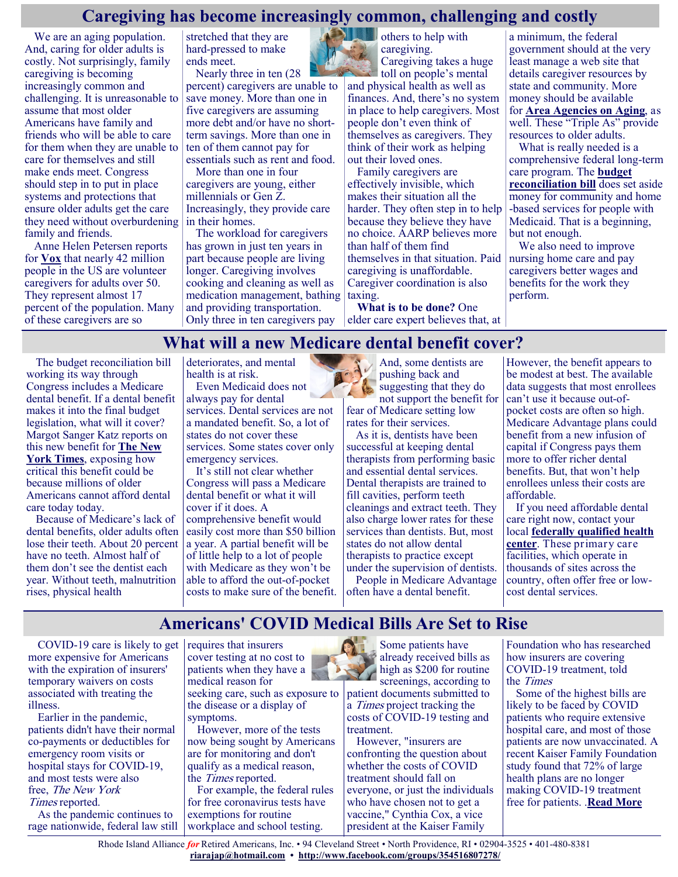### **Caregiving has become increasingly common, challenging and costly**

We are an aging population. And, caring for older adults is costly. Not surprisingly, family caregiving is becoming increasingly common and challenging. It is unreasonable to assume that most older Americans have family and friends who will be able to care for them when they are unable to care for themselves and still make ends meet. Congress should step in to put in place systems and protections that ensure older adults get the care they need without overburdening family and friends.

Anne Helen Petersen reports for **[Vox](https://www.vox.com/the-goods/22639674/elder-care-family-costs-nursing-home-health-care)** that nearly 42 million people in the US are volunteer caregivers for adults over 50. They represent almost 17 percent of the population. Many of these caregivers are so

stretched that they are hard-pressed to make ends meet.

Nearly three in ten (28 percent) caregivers are unable to save money. More than one in five caregivers are assuming more debt and/or have no shortterm savings. More than one in ten of them cannot pay for essentials such as rent and food.

More than one in four caregivers are young, either millennials or Gen Z. Increasingly, they provide care in their homes.

The workload for caregivers has grown in just ten years in part because people are living longer. Caregiving involves cooking and cleaning as well as medication management, bathing taxing. and providing transportation. Only three in ten caregivers pay

others to help with caregiving.

Caregiving takes a huge toll on people's mental and physical health as well as finances. And, there's no system in place to help caregivers. Most people don't even think of themselves as caregivers. They think of their work as helping out their loved ones.

Family caregivers are effectively invisible, which makes their situation all the harder. They often step in to help because they believe they have no choice. AARP believes more than half of them find themselves in that situation. Paid caregiving is unaffordable. Caregiver coordination is also

**What is to be done?** One elder care expert believes that, at a minimum, the federal government should at the very least manage a web site that details caregiver resources by state and community. More money should be available for **[Area Agencies on Aging](https://www.usaging.org/)**, as well. These "Triple As" provide resources to older adults.

What is really needed is a comprehensive federal long-term care program. The **[budget](https://www.vox.com/22577374/reconciliation-bill-biden-medicare-climate)  [reconciliation bill](https://www.vox.com/22577374/reconciliation-bill-biden-medicare-climate)** does set aside money for community and home -based services for people with Medicaid. That is a beginning, but not enough.

We also need to improve nursing home care and pay caregivers better wages and benefits for the work they perform.

### **What will a new Medicare dental benefit cover?**

The budget reconciliation bill working its way through Congress includes a Medicare dental benefit. If a dental benefit makes it into the final budget legislation, what will it cover? Margot Sanger Katz reports on this new benefit for **[The New](https://www.nytimes.com/2021/08/29/upshot/medicare-dental-care.html)  [York Times](https://www.nytimes.com/2021/08/29/upshot/medicare-dental-care.html)**, exposing how critical this benefit could be because millions of older Americans cannot afford dental care today today.

Because of Medicare's lack of dental benefits, older adults often lose their teeth. About 20 percent have no teeth. Almost half of them don't see the dentist each year. Without teeth, malnutrition rises, physical health

deteriorates, and mental health is at risk.

Even Medicaid does not always pay for dental services. Dental services are not a mandated benefit. So, a lot of states do not cover these services. Some states cover only emergency services.

It's still not clear whether Congress will pass a Medicare dental benefit or what it will cover if it does. A comprehensive benefit would easily cost more than \$50 billion a year. A partial benefit will be of little help to a lot of people with Medicare as they won't be able to afford the out-of-pocket costs to make sure of the benefit.

And, some dentists are pushing back and suggesting that they do not support the benefit for fear of Medicare setting low

rates for their services.

As it is, dentists have been successful at keeping dental therapists from performing basic and essential dental services. Dental therapists are trained to fill cavities, perform teeth cleanings and extract teeth. They also charge lower rates for these services than dentists. But, most states do not allow dental therapists to practice except under the supervision of dentists.

People in Medicare Advantage often have a dental benefit.

However, the benefit appears to be modest at best. The available data suggests that most enrollees can't use it because out-ofpocket costs are often so high. Medicare Advantage plans could benefit from a new infusion of capital if Congress pays them more to offer richer dental benefits. But, that won't help enrollees unless their costs are affordable.

If you need affordable dental care right now, contact your local **[federally qualified health](https://justcareusa.org/2021-programs-that-lower-your-health-care-costs-if-you-have-medicare/)  [center](https://justcareusa.org/2021-programs-that-lower-your-health-care-costs-if-you-have-medicare/)**. These primary care facilities, which operate in thousands of sites across the country, often offer free or lowcost dental services.

### **Americans' COVID Medical Bills Are Set to Rise**

COVID-19 care is likely to get  $|$  requires that insurers more expensive for Americans with the expiration of insurers' temporary waivers on costs associated with treating the illness.

Earlier in the pandemic, patients didn't have their normal co-payments or deductibles for emergency room visits or hospital stays for COVID-19, and most tests were also free, The New York Times reported.

As the pandemic continues to rage nationwide, federal law still

cover testing at no cost to patients when they have a medical reason for seeking care, such as exposure to the disease or a display of

symptoms. However, more of the tests now being sought by Americans are for monitoring and don't qualify as a medical reason, the Times reported.

For example, the federal rules for free coronavirus tests have exemptions for routine workplace and school testing.



Some patients have already received bills as high as \$200 for routine screenings, according to

patient documents submitted to a Times project tracking the costs of COVID-19 testing and treatment.

However, "insurers are confronting the question about whether the costs of COVID treatment should fall on everyone, or just the individuals who have chosen not to get a vaccine," Cynthia Cox, a vice president at the Kaiser Family

Foundation who has researched how insurers are covering COVID-19 treatment, told the Times

Some of the highest bills are likely to be faced by COVID patients who require extensive hospital care, and most of those patients are now unvaccinated. A recent Kaiser Family Foundation study found that 72% of large health plans are no longer making COVID-19 treatment free for patients. .**[Read More](https://consumer.healthday.com/b-9-3-americans-covid-medical-bills-are-set-to-rise-2654882691.html)**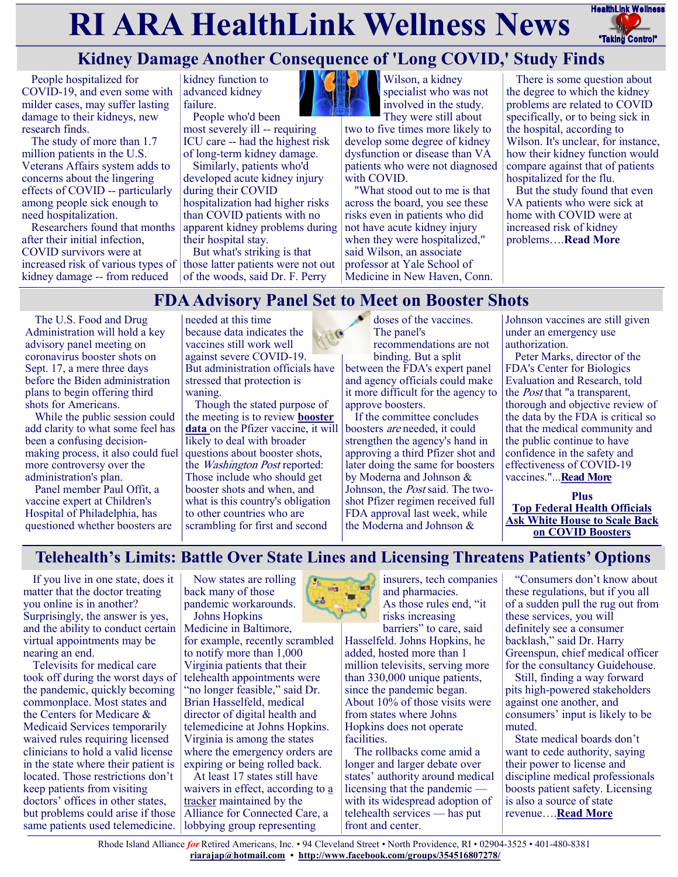# **RI ARA HealthLink Wellness News** Fractific Link Wellness



## **Kidney Damage Another Consequence of 'Long COVID,' Study Finds**

People hospitalized for COVID-19, and even some with milder cases, may suffer lasting damage to their kidneys, new research finds.

The study of more than 1.7 million patients in the U.S. Veterans Affairs system adds to concerns about the lingering effects of COVID -- particularly among people sick enough to need hospitalization.

Researchers found that months after their initial infection, COVID survivors were at kidney damage -- from reduced

kidney function to advanced kidney failure.

People who'd been most severely ill -- requiring ICU care -- had the highest risk of long-term kidney damage.

Similarly, patients who'd developed acute kidney injury during their COVID hospitalization had higher risks than COVID patients with no apparent kidney problems during their hospital stay.

increased risk of various types of those latter patients were not out But what's striking is that of the woods, said Dr. F. Perry



Wilson, a kidney specialist who was not involved in the study.

They were still about two to five times more likely to develop some degree of kidney dysfunction or disease than VA patients who were not diagnosed with COVID.

"What stood out to me is that across the board, you see these risks even in patients who did not have acute kidney injury when they were hospitalized," said Wilson, an associate professor at Yale School of Medicine in New Haven, Conn.

There is some question about the degree to which the kidney problems are related to COVID specifically, or to being sick in the hospital, according to Wilson. It's unclear, for instance, how their kidney function would compare against that of patients hospitalized for the flu.

But the study found that even VA patients who were sick at home with COVID were at increased risk of kidney problems….**[Read More](https://consumer.healthday.com/9-7-kidney-damage-another-consequence-of-long-covid-study-finds-2654862755.html)**

# **FDA Advisory Panel Set to Meet on Booster Shots**

The U.S. Food and Drug Administration will hold a key advisory panel meeting on coronavirus booster shots on Sept. 17, a mere three days before the Biden administration plans to begin offering third shots for Americans.

While the public session could add clarity to what some feel has been a confusing decisionmaking process, it also could fuel more controversy over the administration's plan.

Panel member Paul Offit, a vaccine expert at Children's Hospital of Philadelphia, has questioned whether boosters are needed at this time because data indicates the vaccines still work well against severe COVID-19. But administration officials have stressed that protection is waning.

Though the stated purpose of the meeting is to review **[booster](https://www.pfizer.com/news/press-release/press-release-detail/pfizer-and-biontech-initiate-rolling-submission)  [data](https://www.pfizer.com/news/press-release/press-release-detail/pfizer-and-biontech-initiate-rolling-submission)** on the Pfizer vaccine, it will likely to deal with broader questions about booster shots, the Washington Post reported: Those include who should get booster shots and when, and what is this country's obligation to other countries who are scrambling for first and second

doses of the vaccines. The panel's recommendations are not binding. But a split between the FDA's expert panel and agency officials could make it more difficult for the agency to approve boosters.

If the committee concludes boosters are needed, it could strengthen the agency's hand in approving a third Pfizer shot and later doing the same for boosters by Moderna and Johnson & Johnson, the Post said. The twoshot Pfizer regimen received full FDA approval last week, while the Moderna and Johnson &

Johnson vaccines are still given under an emergency use authorization.

Peter Marks, director of the FDA's Center for Biologics Evaluation and Research, told the Post that "a transparent, thorough and objective review of the data by the FDA is critical so that the medical community and the public continue to have confidence in the safety and effectiveness of COVID-19 vaccines."...**[Read More](https://consumer.healthday.com/9-2-fda-advisory-panel-set-to-meet-on-booster-shots-2654874651.html)**

**Plus [Top Federal Health Officials](https://consumer.healthday.com/b-9-3-top-federal-health-official-ask-white-house-to-scale-back-on-covid-boosters-2654894268.html)  [Ask White House to Scale Back](https://consumer.healthday.com/b-9-3-top-federal-health-official-ask-white-house-to-scale-back-on-covid-boosters-2654894268.html)  [on COVID Boosters](https://consumer.healthday.com/b-9-3-top-federal-health-official-ask-white-house-to-scale-back-on-covid-boosters-2654894268.html)**

### **Telehealth's Limits: Battle Over State Lines and Licensing Threatens Patients' Options**

If you live in one state, does it matter that the doctor treating you online is in another? Surprisingly, the answer is yes, and the ability to conduct certain virtual appointments may be nearing an end.

Televisits for medical care took off during the worst days of the pandemic, quickly becoming commonplace. Most states and the Centers for Medicare & Medicaid Services temporarily waived rules requiring licensed clinicians to hold a valid license in the state where their patient is located. Those restrictions don't keep patients from visiting doctors' offices in other states, but problems could arise if those same patients used telemedicine.

Now states are rolling back many of those pandemic workarounds. Johns Hopkins

Medicine in Baltimore, for example, recently scrambled to notify more than 1,000 Virginia patients that their telehealth appointments were "no longer feasible," said Dr. Brian Hasselfeld, medical director of digital health and telemedicine at Johns Hopkins. Virginia is among the states where the emergency orders are expiring or being rolled back.

At least 17 states still have waivers in effect, according to [a](https://connectwithcare.org/wp-content/uploads/2020/04/State-Emergency-Declarations-Telehealth-and-Licensure-Flexibilities-During-and-Post-COVID-19.pdf)  [tracker](https://connectwithcare.org/wp-content/uploads/2020/04/State-Emergency-Declarations-Telehealth-and-Licensure-Flexibilities-During-and-Post-COVID-19.pdf) maintained by the Alliance for Connected Care, a lobbying group representing



insurers, tech companies and pharmacies. As those rules end, "it risks increasing

barriers" to care, said Hasselfeld. Johns Hopkins, he added, hosted more than 1 million televisits, serving more than 330,000 unique patients, since the pandemic began. About  $10\%$  of those visits were from states where Johns Hopkins does not operate facilities.

The rollbacks come amid a longer and larger debate over states' authority around medical licensing that the pandemic with its widespread adoption of telehealth services — has put front and center.

"Consumers don't know about these regulations, but if you all of a sudden pull the rug out from these services, you will definitely see a consumer backlash," said Dr. Harry Greenspun, chief medical officer for the consultancy Guidehouse.

Still, finding a way forward pits high-powered stakeholders against one another, and consumers' input is likely to be muted.

State medical boards don't want to cede authority, saying their power to license and discipline medical professionals boosts patient safety. Licensing is also a source of state revenue….**[Read More](https://khn.org/news/article/state-medical-licensing-rules-threatens-telehealth-patient-options/)**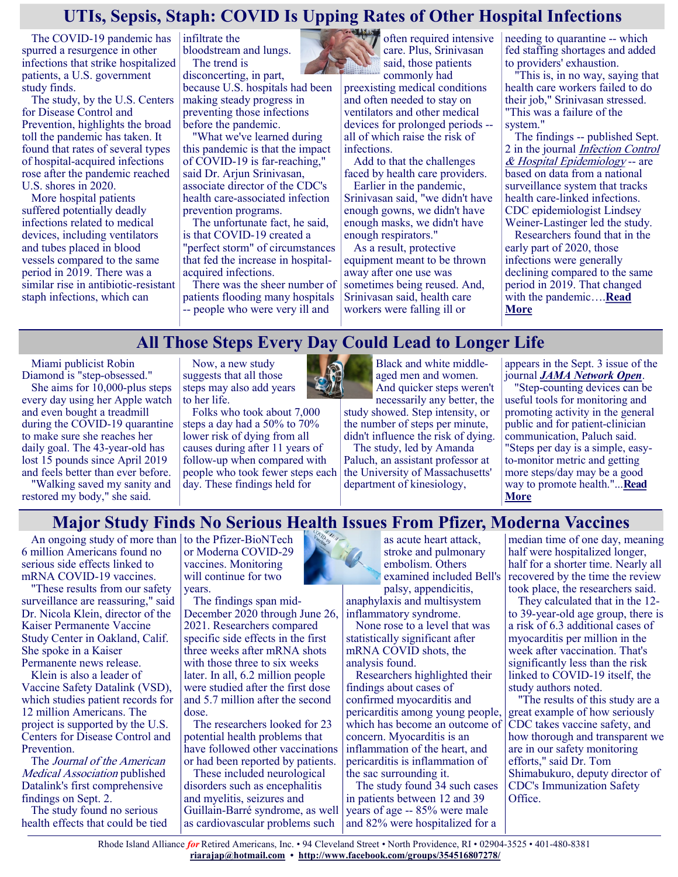### **UTIs, Sepsis, Staph: COVID Is Upping Rates of Other Hospital Infections**

The COVID-19 pandemic has spurred a resurgence in other infections that strike hospitalized patients, a U.S. government study finds.

The study, by the U.S. Centers for Disease Control and Prevention, highlights the broad toll the pandemic has taken. It found that rates of several types of hospital-acquired infections rose after the pandemic reached U.S. shores in 2020.

More hospital patients suffered potentially deadly infections related to medical devices, including ventilators and tubes placed in blood vessels compared to the same period in 2019. There was a similar rise in antibiotic-resistant staph infections, which can

infiltrate the bloodstream and lungs. The trend is

disconcerting, in part, because U.S. hospitals had been making steady progress in

preventing those infections before the pandemic. "What we've learned during this pandemic is that the impact of COVID-19 is far-reaching," said Dr. Arjun Srinivasan, associate director of the CDC's health care-associated infection

prevention programs. The unfortunate fact, he said, is that COVID-19 created a "perfect storm" of circumstances that fed the increase in hospitalacquired infections.

There was the sheer number of patients flooding many hospitals -- people who were very ill and



often required intensive care. Plus, Srinivasan said, those patients

commonly had preexisting medical conditions and often needed to stay on ventilators and other medical devices for prolonged periods - all of which raise the risk of infections.

Add to that the challenges faced by health care providers.

Earlier in the pandemic, Srinivasan said, "we didn't have enough gowns, we didn't have enough masks, we didn't have enough respirators."

As a result, protective equipment meant to be thrown away after one use was sometimes being reused. And, Srinivasan said, health care workers were falling ill or

needing to quarantine -- which fed staffing shortages and added to providers' exhaustion.

"This is, in no way, saying that health care workers failed to do their job," Srinivasan stressed. "This was a failure of the system."

The findings -- published Sept. 2 in the journal *Infection Control* [& Hospital Epidemiology](https://www.cambridge.org/core/journals/infection-control-and-hospital-epidemiology/article/abs/impact-of-coronavirus-disease-2019-covid19-on-healthcareassociated-infections-in-2020-a-summary-of-data-reported-to-the-national-healthcare-safety-network/8197F323) -- are based on data from a national surveillance system that tracks health care-linked infections. CDC epidemiologist Lindsey

Weiner-Lastinger led the study. Researchers found that in the early part of 2020, those infections were generally declining compared to the same period in 2019. That changed with the pandemic….**[Read](https://consumer.healthday.com/9-3-utis-sepsis-covid-is-upping-rates-of-other-serious-infections-2654851168.html)  [More](https://consumer.healthday.com/9-3-utis-sepsis-covid-is-upping-rates-of-other-serious-infections-2654851168.html)**

### **All Those Steps Every Day Could Lead to Longer Life**

Miami publicist Robin Diamond is "step-obsessed."

She aims for 10,000-plus steps every day using her Apple watch and even bought a treadmill during the COVID-19 quarantine to make sure she reaches her daily goal. The 43-year-old has lost 15 pounds since April 2019 and feels better than ever before.

"Walking saved my sanity and restored my body," she said.

Now, a new study suggests that all those steps may also add years to her life.

Folks who took about 7,000 steps a day had a 50% to 70% lower risk of dying from all causes during after 11 years of follow-up when compared with people who took fewer steps each day. These findings held for



Black and white middleaged men and women. And quicker steps weren't necessarily any better, the

study showed. Step intensity, or the number of steps per minute, didn't influence the risk of dying.

The study, led by Amanda Paluch, an assistant professor at the University of Massachusetts' department of kinesiology,

appears in the Sept. 3 issue of the journal *[JAMA Network Open](https://jamanetwork.com/journals/jamanetworkopen/fullarticle/2783711?resultClick=3)*.

"Step-counting devices can be useful tools for monitoring and promoting activity in the general public and for patient-clinician communication, Paluch said. "Steps per day is a simple, easyto-monitor metric and getting more steps/day may be a good way to promote health."...**[Read](https://consumer.healthday.com/9-6-all-those-steps-per-day-could-lead-to-longer-life-2654867299.html)  [More](https://consumer.healthday.com/9-6-all-those-steps-per-day-could-lead-to-longer-life-2654867299.html)**

### **Major Study Finds No Serious Health Issues From Pfizer, Moderna Vaccines**

An ongoing study of more than  $\vert$  to the Pfizer-BioNTech 6 million Americans found no serious side effects linked to mRNA COVID-19 vaccines.

"These results from our safety surveillance are reassuring," said Dr. Nicola Klein, director of the Kaiser Permanente Vaccine Study Center in Oakland, Calif. She spoke in a Kaiser Permanente news release.

Klein is also a leader of Vaccine Safety Datalink (VSD), which studies patient records for 12 million Americans. The project is supported by the U.S. Centers for Disease Control and Prevention.

The Journal of the American Medical Association published Datalink's first comprehensive findings on Sept. 2.

The study found no serious health effects that could be tied

or Moderna COVID-29 vaccines. Monitoring will continue for two years.

The findings span mid-December 2020 through June 26, 2021. Researchers compared specific side effects in the first three weeks after mRNA shots with those three to six weeks later. In all, 6.2 million people were studied after the first dose and 5.7 million after the second dose.

The researchers looked for 23 potential health problems that have followed other vaccinations or had been reported by patients.

These included neurological disorders such as encephalitis and myelitis, seizures and Guillain-Barré syndrome, as well as cardiovascular problems such

as acute heart attack, stroke and pulmonary embolism. Others examined included Bell's palsy, appendicitis, anaphylaxis and multisystem

inflammatory syndrome. None rose to a level that was statistically significant after mRNA COVID shots, the analysis found.

Researchers highlighted their findings about cases of confirmed myocarditis and pericarditis among young people, which has become an outcome of concern. Myocarditis is an inflammation of the heart, and pericarditis is inflammation of the sac surrounding it.

The study found 34 such cases in patients between 12 and 39 years of age -- 85% were male and 82% were hospitalized for a

median time of one day, meaning half were hospitalized longer, half for a shorter time. Nearly all recovered by the time the review took place, the researchers said.

They calculated that in the 12 to 39-year-old age group, there is a risk of 6.3 additional cases of myocarditis per million in the week after vaccination. That's significantly less than the risk linked to COVID-19 itself, the study authors noted.

"The results of this study are a great example of how seriously CDC takes vaccine safety, and how thorough and transparent we are in our safety monitoring efforts," said Dr. Tom Shimabukuro, deputy director of CDC's Immunization Safety Office.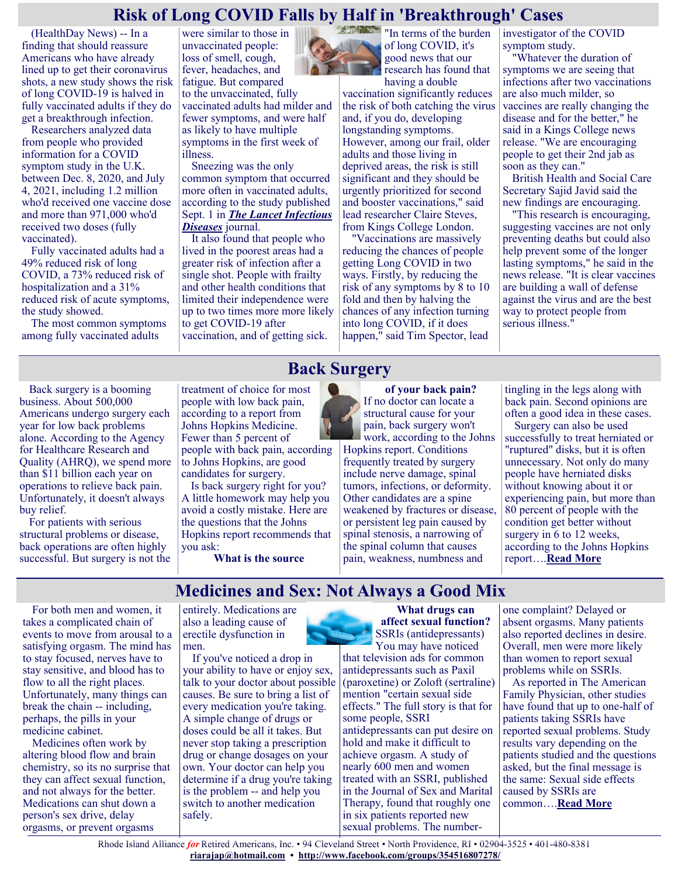### **Risk of Long COVID Falls by Half in 'Breakthrough' Cases**

(HealthDay News) -- In a finding that should reassure Americans who have already lined up to get their coronavirus shots, a new study shows the risk of long COVID-19 is halved in fully vaccinated adults if they do get a breakthrough infection.

Researchers analyzed data from people who provided information for a COVID symptom study in the U.K. between Dec. 8, 2020, and July 4, 2021, including 1.2 million who'd received one vaccine dose and more than 971,000 who'd received two doses (fully vaccinated).

Fully vaccinated adults had a 49% reduced risk of long COVID, a 73% reduced risk of hospitalization and a 31% reduced risk of acute symptoms, the study showed.

The most common symptoms among fully vaccinated adults

were similar to those in unvaccinated people: loss of smell, cough, fever, headaches, and fatigue. But compared to the unvaccinated, fully vaccinated adults had milder and fewer symptoms, and were half as likely to have multiple symptoms in the first week of illness.

Sneezing was the only common symptom that occurred more often in vaccinated adults, according to the study published Sept. 1 in *[The Lancet Infectious](https://www.thelancet.com/journals/laninf/article/PIIS1473-3099(21)00460-6/fulltext)  [Diseases](https://www.thelancet.com/journals/laninf/article/PIIS1473-3099(21)00460-6/fulltext)* journal.

It also found that people who lived in the poorest areas had a greater risk of infection after a single shot. People with frailty and other health conditions that limited their independence were up to two times more more likely to get COVID-19 after vaccination, and of getting sick.

**CONTRACTOR** "In terms of the burden of long COVID, it's good news that our research has found that having a double

vaccination significantly reduces the risk of both catching the virus and, if you do, developing longstanding symptoms. However, among our frail, older adults and those living in deprived areas, the risk is still significant and they should be urgently prioritized for second and booster vaccinations," said lead researcher Claire Steves, from Kings College London.

"Vaccinations are massively reducing the chances of people getting Long COVID in two ways. Firstly, by reducing the risk of any symptoms by 8 to 10 fold and then by halving the chances of any infection turning into long COVID, if it does happen," said Tim Spector, lead

investigator of the COVID symptom study.

"Whatever the duration of symptoms we are seeing that infections after two vaccinations are also much milder, so vaccines are really changing the disease and for the better," he said in a Kings College news release. "We are encouraging people to get their 2nd jab as soon as they can."

British Health and Social Care Secretary Sajid Javid said the new findings are encouraging.

"This research is encouraging, suggesting vaccines are not only preventing deaths but could also help prevent some of the longer lasting symptoms," he said in the news release. "It is clear vaccines are building a wall of defense against the virus and are the best way to protect people from serious illness."

Back surgery is a booming business. About 500,000 Americans undergo surgery each year for low back problems alone. According to the Agency for Healthcare Research and Quality (AHRQ), we spend more than \$11 billion each year on operations to relieve back pain. Unfortunately, it doesn't always buy relief.

For patients with serious structural problems or disease, back operations are often highly successful. But surgery is not the treatment of choice for most people with low back pain, according to a report from Johns Hopkins Medicine. Fewer than 5 percent of people with back pain, according to Johns Hopkins, are good candidates for surgery.

Is back surgery right for you? A little homework may help you avoid a costly mistake. Here are the questions that the Johns Hopkins report recommends that you ask:

**What is the source**

**Back Surgery**

**of your back pain?** If no doctor can locate a structural cause for your pain, back surgery won't work, according to the Johns

Hopkins report. Conditions frequently treated by surgery include nerve damage, spinal tumors, infections, or deformity. Other candidates are a spine weakened by fractures or disease, or persistent leg pain caused by spinal stenosis, a narrowing of the spinal column that causes pain, weakness, numbness and

tingling in the legs along with back pain. Second opinions are often a good idea in these cases.

Surgery can also be used successfully to treat herniated or "ruptured" disks, but it is often unnecessary. Not only do many people have herniated disks without knowing about it or experiencing pain, but more than 80 percent of people with the condition get better without surgery in 6 to 12 weeks, according to the Johns Hopkins report….**[Read More](https://consumer.healthday.com/encyclopedia/back-care-6/backache-news-53/back-surgery-645795.html)**

### **Medicines and Sex: Not Always a Good Mix**

For both men and women, it takes a complicated chain of events to move from arousal to a satisfying orgasm. The mind has to stay focused, nerves have to stay sensitive, and blood has to flow to all the right places. Unfortunately, many things can break the chain -- including, perhaps, the pills in your medicine cabinet.

Medicines often work by altering blood flow and brain chemistry, so its no surprise that they can affect sexual function, and not always for the better. Medications can shut down a person's sex drive, delay orgasms, or prevent orgasms

entirely. Medications are also a leading cause of erectile dysfunction in men.

If you've noticed a drop in your ability to have or enjoy sex, talk to your doctor about possible causes. Be sure to bring a list of every medication you're taking. A simple change of drugs or doses could be all it takes. But never stop taking a prescription drug or change dosages on your own. Your doctor can help you determine if a drug you're taking is the problem -- and help you switch to another medication safely.



You may have noticed that television ads for common antidepressants such as Paxil (paroxetine) or Zoloft (sertraline) mention "certain sexual side effects." The full story is that for some people, SSRI antidepressants can put desire on hold and make it difficult to achieve orgasm. A study of nearly 600 men and women treated with an SSRI, published in the Journal of Sex and Marital Therapy, found that roughly one in six patients reported new sexual problems. The numberone complaint? Delayed or absent orgasms. Many patients also reported declines in desire. Overall, men were more likely than women to report sexual problems while on SSRIs.

As reported in The American Family Physician, other studies have found that up to one-half of patients taking SSRIs have reported sexual problems. Study results vary depending on the patients studied and the questions asked, but the final message is the same: Sexual side effects caused by SSRIs are common….**[Read More](https://consumer.healthday.com/encyclopedia/drug-center-16/misc-drugs-news-218/medicines-and-sex-not-always-a-good-mix-646268.html)**